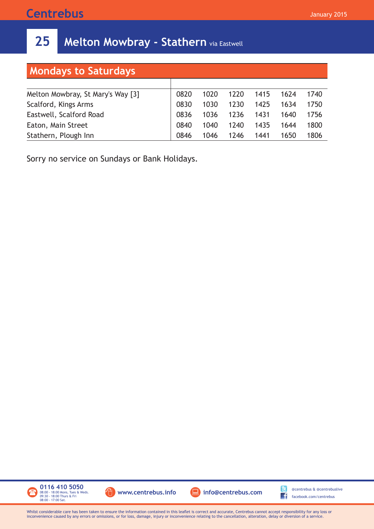## **Centrebus**

## **25** Melton Mowbray - Stathern via Eastwell

| <b>Mondays to Saturdays</b>       |      |      |      |      |      |      |  |  |  |  |
|-----------------------------------|------|------|------|------|------|------|--|--|--|--|
|                                   |      |      |      |      |      |      |  |  |  |  |
| Melton Mowbray, St Mary's Way [3] | 0820 | 1020 | 1220 | 1415 | 1624 | 1740 |  |  |  |  |
| Scalford, Kings Arms              | 0830 | 1030 | 1230 | 1425 | 1634 | 1750 |  |  |  |  |
| Eastwell, Scalford Road           | 0836 | 1036 | 1236 | 1431 | 1640 | 1756 |  |  |  |  |
| Eaton, Main Street                | 0840 | 1040 | 1240 | 1435 | 1644 | 1800 |  |  |  |  |
| Stathern, Plough Inn              | 0846 | 1046 | 1246 | 1441 | 1650 | 1806 |  |  |  |  |

Sorry no service on Sundays or Bank Holidays.



Whilst considerable care has been taken to ensure the information contained in this leaflet is correct and accurate, Centrebus cannot accept responsibility for any loss or inconvenience caused by any errors or omissions, or for loss, damage, injury or inconvenience relating to the cancellation, alteration, delay or diversion of a service.